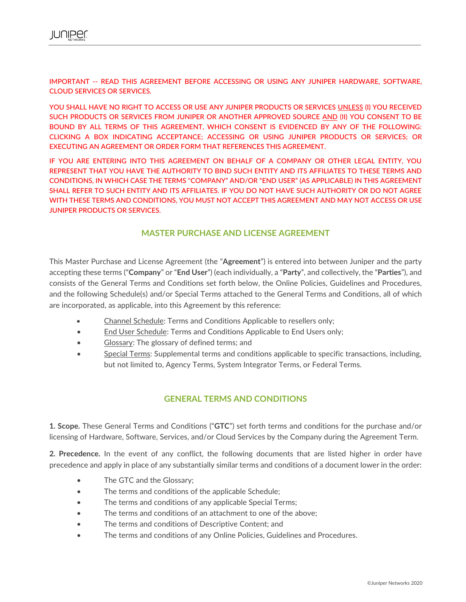IMPORTANT -- READ THIS AGREEMENT BEFORE ACCESSING OR USING ANY JUNIPER HARDWARE, SOFTWARE, CLOUD SERVICES OR SERVICES.

YOU SHALL HAVE NO RIGHT TO ACCESS OR USE ANY JUNIPER PRODUCTS OR SERVICES UNLESS (I) YOU RECEIVED SUCH PRODUCTS OR SERVICES FROM JUNIPER OR ANOTHER APPROVED SOURCE AND (II) YOU CONSENT TO BE BOUND BY ALL TERMS OF THIS AGREEMENT, WHICH CONSENT IS EVIDENCED BY ANY OF THE FOLLOWING: CLICKING A BOX INDICATING ACCEPTANCE; ACCESSING OR USING JUNIPER PRODUCTS OR SERVICES; OR EXECUTING AN AGREEMENT OR ORDER FORM THAT REFERENCES THIS AGREEMENT.

IF YOU ARE ENTERING INTO THIS AGREEMENT ON BEHALF OF A COMPANY OR OTHER LEGAL ENTITY, YOU REPRESENT THAT YOU HAVE THE AUTHORITY TO BIND SUCH ENTITY AND ITS AFFILIATES TO THESE TERMS AND CONDITIONS, IN WHICH CASE THE TERMS "COMPANY" AND/OR "END USER" (AS APPLICABLE) IN THIS AGREEMENT SHALL REFER TO SUCH ENTITY AND ITS AFFILIATES. IF YOU DO NOT HAVE SUCH AUTHORITY OR DO NOT AGREE WITH THESE TERMS AND CONDITIONS, YOU MUST NOT ACCEPT THIS AGREEMENT AND MAY NOT ACCESS OR USE JUNIPER PRODUCTS OR SERVICES.

## **MASTER PURCHASE AND LICENSE AGREEMENT**

This Master Purchase and License Agreement (the "**Agreement**") is entered into between Juniper and the party accepting these terms ("**Company**" or "**End User**") (each individually, a "**Party**", and collectively, the "**Parties**"), and consists of the General Terms and Conditions set forth below, the Online Policies, Guidelines and Procedures, and the following Schedule(s) and/or Special Terms attached to the General Terms and Conditions, all of which are incorporated, as applicable, into this Agreement by this reference:

- Channel Schedule: Terms and Conditions Applicable to resellers only;
- End User Schedule: Terms and Conditions Applicable to End Users only;
- Glossary: The glossary of defined terms; and
- Special Terms: Supplemental terms and conditions applicable to specific transactions, including, but not limited to, Agency Terms, System Integrator Terms, or Federal Terms.

## **GENERAL TERMS AND CONDITIONS**

**1. Scope.** These General Terms and Conditions ("**GTC**") set forth terms and conditions for the purchase and/or licensing of Hardware, Software, Services, and/or Cloud Services by the Company during the Agreement Term.

**2. Precedence.** In the event of any conflict, the following documents that are listed higher in order have precedence and apply in place of any substantially similar terms and conditions of a document lower in the order:

- The GTC and the Glossary;
- The terms and conditions of the applicable Schedule;
- The terms and conditions of any applicable Special Terms;
- The terms and conditions of an attachment to one of the above;
- The terms and conditions of Descriptive Content; and
- The terms and conditions of any Online Policies, Guidelines and Procedures.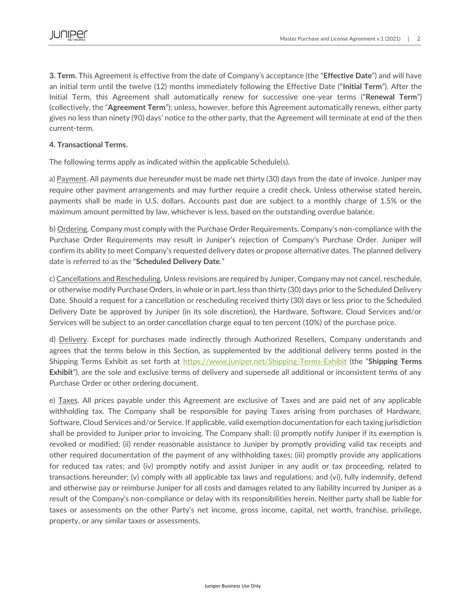**3. Term.** This Agreement is effective from the date of Company's acceptance (the "**Effective Date**") and will have an initial term until the twelve (12) months immediately following the Effective Date ("**Initial Term**"). After the Initial Term, this Agreement shall automatically renew for successive one-year terms ("**Renewal Term**") (collectively, the "**Agreement Term**"); unless, however, before this Agreement automatically renews, either party gives no less than ninety (90) days' notice to the other party, that the Agreement will terminate at end of the then current-term.

#### **4. Transactional Terms.**

The following terms apply as indicated within the applicable Schedule(s).

a) Payment. All payments due hereunder must be made net thirty (30) days from the date of invoice. Juniper may require other payment arrangements and may further require a credit check. Unless otherwise stated herein, payments shall be made in U.S. dollars. Accounts past due are subject to a monthly charge of 1.5% or the maximum amount permitted by law, whichever is less, based on the outstanding overdue balance.

b) Ordering. Company must comply with the Purchase Order Requirements. Company's non-compliance with the Purchase Order Requirements may result in Juniper's rejection of Company's Purchase Order. Juniper will confirm its ability to meet Company's requested delivery dates or propose alternative dates. The planned delivery date is referred to as the "**Scheduled Delivery Date**."

c) Cancellations and Rescheduling. Unless revisions are required by Juniper, Company may not cancel, reschedule, or otherwise modify Purchase Orders, in whole or in part, less than thirty (30) days prior to the Scheduled Delivery Date. Should a request for a cancellation or rescheduling received thirty (30) days or less prior to the Scheduled Delivery Date be approved by Juniper (in its sole discretion), the Hardware, Software, Cloud Services and/or Services will be subject to an order cancellation charge equal to ten percent (10%) of the purchase price.

d) Delivery. Except for purchases made indirectly through Authorized Resellers, Company understands and agrees that the terms below in this Section, as supplemented by the additional delivery terms posted in the Shipping Terms Exhibit as set forth at<https://www.juniper.net/Shipping-Terms-Exhibit> (the "**Shipping Terms Exhibit**"), are the sole and exclusive terms of delivery and supersede all additional or inconsistent terms of any Purchase Order or other ordering document.

e) Taxes. All prices payable under this Agreement are exclusive of Taxes and are paid net of any applicable withholding tax. The Company shall be responsible for paying Taxes arising from purchases of Hardware, Software, Cloud Services and/or Service. If applicable, valid exemption documentation for each taxing jurisdiction shall be provided to Juniper prior to invoicing. The Company shall: (i) promptly notify Juniper if its exemption is revoked or modified; (ii) render reasonable assistance to Juniper by promptly providing valid tax receipts and other required documentation of the payment of any withholding taxes; (iii) promptly provide any applications for reduced tax rates; and (iv) promptly notify and assist Juniper in any audit or tax proceeding, related to transactions hereunder; (v) comply with all applicable tax laws and regulations; and (vi), fully indemnify, defend and otherwise pay or reimburse Juniper for all costs and damages related to any liability incurred by Juniper as a result of the Company's non-compliance or delay with its responsibilities herein. Neither party shall be liable for taxes or assessments on the other Party's net income, gross income, capital, net worth, franchise, privilege, property, or any similar taxes or assessments.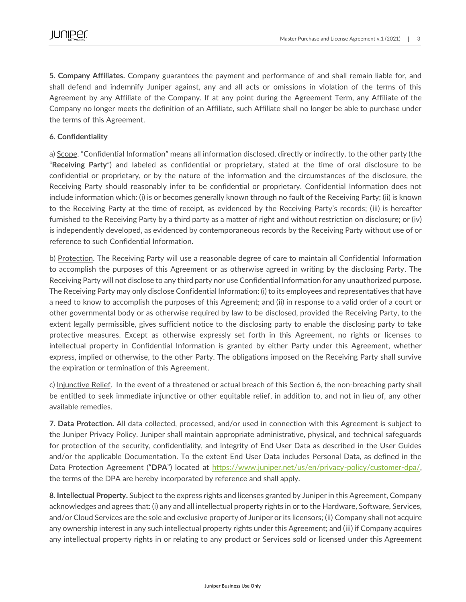**5. Company Affiliates.** Company guarantees the payment and performance of and shall remain liable for, and shall defend and indemnify Juniper against, any and all acts or omissions in violation of the terms of this Agreement by any Affiliate of the Company. If at any point during the Agreement Term, any Affiliate of the Company no longer meets the definition of an Affiliate, such Affiliate shall no longer be able to purchase under the terms of this Agreement.

### **6. Confidentiality**

a) Scope. "Confidential Information" means all information disclosed, directly or indirectly, to the other party (the "**Receiving Party**") and labeled as confidential or proprietary, stated at the time of oral disclosure to be confidential or proprietary, or by the nature of the information and the circumstances of the disclosure, the Receiving Party should reasonably infer to be confidential or proprietary. Confidential Information does not include information which: (i) is or becomes generally known through no fault of the Receiving Party; (ii) is known to the Receiving Party at the time of receipt, as evidenced by the Receiving Party's records; (iii) is hereafter furnished to the Receiving Party by a third party as a matter of right and without restriction on disclosure; or (iv) is independently developed, as evidenced by contemporaneous records by the Receiving Party without use of or reference to such Confidential Information.

b) Protection. The Receiving Party will use a reasonable degree of care to maintain all Confidential Information to accomplish the purposes of this Agreement or as otherwise agreed in writing by the disclosing Party. The Receiving Party will not disclose to any third party nor use Confidential Information for any unauthorized purpose. The Receiving Party may only disclose Confidential Information: (i) to its employees and representatives that have a need to know to accomplish the purposes of this Agreement; and (ii) in response to a valid order of a court or other governmental body or as otherwise required by law to be disclosed, provided the Receiving Party, to the extent legally permissible, gives sufficient notice to the disclosing party to enable the disclosing party to take protective measures. Except as otherwise expressly set forth in this Agreement, no rights or licenses to intellectual property in Confidential Information is granted by either Party under this Agreement, whether express, implied or otherwise, to the other Party. The obligations imposed on the Receiving Party shall survive the expiration or termination of this Agreement.

c) Injunctive Relief. In the event of a threatened or actual breach of this Section 6, the non-breaching party shall be entitled to seek immediate injunctive or other equitable relief, in addition to, and not in lieu of, any other available remedies.

**7. Data Protection.** All data collected, processed, and/or used in connection with this Agreement is subject to the Juniper Privacy Policy. Juniper shall maintain appropriate administrative, physical, and technical safeguards for protection of the security, confidentiality, and integrity of End User Data as described in the User Guides and/or the applicable Documentation. To the extent End User Data includes Personal Data, as defined in the Data Protection Agreement ("DPA") located at [https://www.juniper.net/us/en/privacy-policy/customer-dpa/,](https://www.juniper.net/us/en/privacy-policy/customer-dpa/) the terms of the DPA are hereby incorporated by reference and shall apply.

**8. Intellectual Property.** Subject to the express rights and licenses granted by Juniper in this Agreement, Company acknowledges and agrees that: (i) any and all intellectual property rights in or to the Hardware, Software, Services, and/or Cloud Services are the sole and exclusive property of Juniper or its licensors; (ii) Company shall not acquire any ownership interest in any such intellectual property rights under this Agreement; and (iii) if Company acquires any intellectual property rights in or relating to any product or Services sold or licensed under this Agreement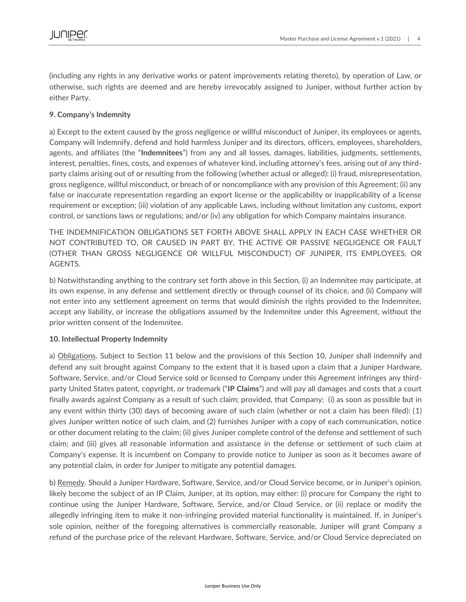(including any rights in any derivative works or patent improvements relating thereto), by operation of Law, or otherwise, such rights are deemed and are hereby irrevocably assigned to Juniper, without further action by either Party.

### **9. Company's Indemnity**

a) Except to the extent caused by the gross negligence or willful misconduct of Juniper, its employees or agents, Company will indemnify, defend and hold harmless Juniper and its directors, officers, employees, shareholders, agents, and affiliates (the "**Indemnitees**") from any and all losses, damages, liabilities, judgments, settlements, interest, penalties, fines, costs, and expenses of whatever kind, including attorney's fees, arising out of any thirdparty claims arising out of or resulting from the following (whether actual or alleged): (i) fraud, misrepresentation, gross negligence, willful misconduct, or breach of or noncompliance with any provision of this Agreement; (ii) any false or inaccurate representation regarding an export license or the applicability or inapplicability of a license requirement or exception; (iii) violation of any applicable Laws, including without limitation any customs, export control, or sanctions laws or regulations; and/or (iv) any obligation for which Company maintains insurance.

THE INDEMNIFICATION OBLIGATIONS SET FORTH ABOVE SHALL APPLY IN EACH CASE WHETHER OR NOT CONTRIBUTED TO, OR CAUSED IN PART BY, THE ACTIVE OR PASSIVE NEGLIGENCE OR FAULT (OTHER THAN GROSS NEGLIGENCE OR WILLFUL MISCONDUCT) OF JUNIPER, ITS EMPLOYEES, OR AGENTS.

b) Notwithstanding anything to the contrary set forth above in this Section, (i) an Indemnitee may participate, at its own expense, in any defense and settlement directly or through counsel of its choice, and (ii) Company will not enter into any settlement agreement on terms that would diminish the rights provided to the Indemnitee, accept any liability, or increase the obligations assumed by the Indemnitee under this Agreement, without the prior written consent of the Indemnitee.

### **10. Intellectual Property Indemnity**

a) Obligations. Subject to Section 11 below and the provisions of this Section 10, Juniper shall indemnify and defend any suit brought against Company to the extent that it is based upon a claim that a Juniper Hardware, Software, Service, and/or Cloud Service sold or licensed to Company under this Agreement infringes any thirdparty United States patent, copyright, or trademark ("**IP Claims**") and will pay all damages and costs that a court finally awards against Company as a result of such claim; provided, that Company: (i) as soon as possible but in any event within thirty (30) days of becoming aware of such claim (whether or not a claim has been filed): (1) gives Juniper written notice of such claim, and (2) furnishes Juniper with a copy of each communication, notice or other document relating to the claim; (ii) gives Juniper complete control of the defense and settlement of such claim; and (iii) gives all reasonable information and assistance in the defense or settlement of such claim at Company's expense. It is incumbent on Company to provide notice to Juniper as soon as it becomes aware of any potential claim, in order for Juniper to mitigate any potential damages.

b) Remedy. Should a Juniper Hardware, Software, Service, and/or Cloud Service become, or in Juniper's opinion, likely become the subject of an IP Claim, Juniper, at its option, may either: (i) procure for Company the right to continue using the Juniper Hardware, Software, Service, and/or Cloud Service, or (ii) replace or modify the allegedly infringing item to make it non-infringing provided material functionality is maintained. If, in Juniper's sole opinion, neither of the foregoing alternatives is commercially reasonable, Juniper will grant Company a refund of the purchase price of the relevant Hardware, Software, Service, and/or Cloud Service depreciated on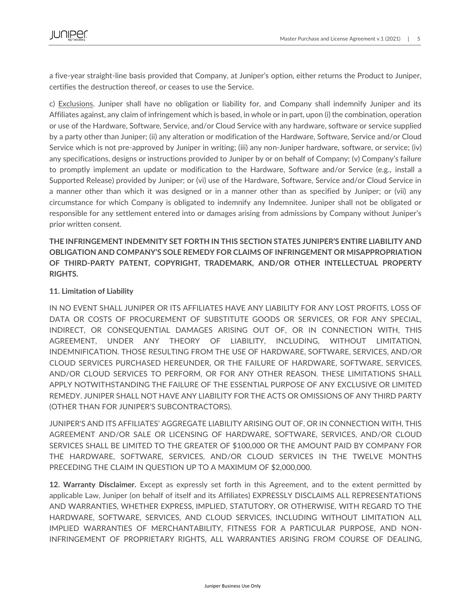a five-year straight-line basis provided that Company, at Juniper's option, either returns the Product to Juniper, certifies the destruction thereof, or ceases to use the Service.

c) Exclusions. Juniper shall have no obligation or liability for, and Company shall indemnify Juniper and its Affiliates against, any claim of infringement which is based, in whole or in part, upon (i) the combination, operation or use of the Hardware, Software, Service, and/or Cloud Service with any hardware, software or service supplied by a party other than Juniper; (ii) any alteration or modification of the Hardware, Software, Service and/or Cloud Service which is not pre-approved by Juniper in writing; (iii) any non-Juniper hardware, software, or service; (iv) any specifications, designs or instructions provided to Juniper by or on behalf of Company; (v) Company's failure to promptly implement an update or modification to the Hardware, Software and/or Service (e.g., install a Supported Release) provided by Juniper; or (vi) use of the Hardware, Software, Service and/or Cloud Service in a manner other than which it was designed or in a manner other than as specified by Juniper; or (vii) any circumstance for which Company is obligated to indemnify any Indemnitee. Juniper shall not be obligated or responsible for any settlement entered into or damages arising from admissions by Company without Juniper's prior written consent.

# **THE INFRINGEMENT INDEMNITY SET FORTH IN THIS SECTION STATES JUNIPER'S ENTIRE LIABILITY AND OBLIGATION AND COMPANY'S SOLE REMEDY FOR CLAIMS OF INFRINGEMENT OR MISAPPROPRIATION OF THIRD-PARTY PATENT, COPYRIGHT, TRADEMARK, AND/OR OTHER INTELLECTUAL PROPERTY RIGHTS.**

## **11. Limitation of Liability**

IN NO EVENT SHALL JUNIPER OR ITS AFFILIATES HAVE ANY LIABILITY FOR ANY LOST PROFITS, LOSS OF DATA OR COSTS OF PROCUREMENT OF SUBSTITUTE GOODS OR SERVICES, OR FOR ANY SPECIAL, INDIRECT, OR CONSEQUENTIAL DAMAGES ARISING OUT OF, OR IN CONNECTION WITH, THIS AGREEMENT, UNDER ANY THEORY OF LIABILITY, INCLUDING, WITHOUT LIMITATION, INDEMNIFICATION. THOSE RESULTING FROM THE USE OF HARDWARE, SOFTWARE, SERVICES, AND/OR CLOUD SERVICES PURCHASED HEREUNDER, OR THE FAILURE OF HARDWARE, SOFTWARE, SERVICES, AND/OR CLOUD SERVICES TO PERFORM, OR FOR ANY OTHER REASON. THESE LIMITATIONS SHALL APPLY NOTWITHSTANDING THE FAILURE OF THE ESSENTIAL PURPOSE OF ANY EXCLUSIVE OR LIMITED REMEDY. JUNIPER SHALL NOT HAVE ANY LIABILITY FOR THE ACTS OR OMISSIONS OF ANY THIRD PARTY (OTHER THAN FOR JUNIPER'S SUBCONTRACTORS).

JUNIPER'S AND ITS AFFILIATES' AGGREGATE LIABILITY ARISING OUT OF, OR IN CONNECTION WITH, THIS AGREEMENT AND/OR SALE OR LICENSING OF HARDWARE, SOFTWARE, SERVICES, AND/OR CLOUD SERVICES SHALL BE LIMITED TO THE GREATER OF \$100,000 OR THE AMOUNT PAID BY COMPANY FOR THE HARDWARE, SOFTWARE, SERVICES, AND/OR CLOUD SERVICES IN THE TWELVE MONTHS PRECEDING THE CLAIM IN QUESTION UP TO A MAXIMUM OF \$2,000,000.

**12. Warranty Disclaimer.** Except as expressly set forth in this Agreement, and to the extent permitted by applicable Law, Juniper (on behalf of itself and its Affiliates) EXPRESSLY DISCLAIMS ALL REPRESENTATIONS AND WARRANTIES, WHETHER EXPRESS, IMPLIED, STATUTORY, OR OTHERWISE, WITH REGARD TO THE HARDWARE, SOFTWARE, SERVICES, AND CLOUD SERVICES, INCLUDING WITHOUT LIMITATION ALL IMPLIED WARRANTIES OF MERCHANTABILITY, FITNESS FOR A PARTICULAR PURPOSE, AND NON-INFRINGEMENT OF PROPRIETARY RIGHTS, ALL WARRANTIES ARISING FROM COURSE OF DEALING,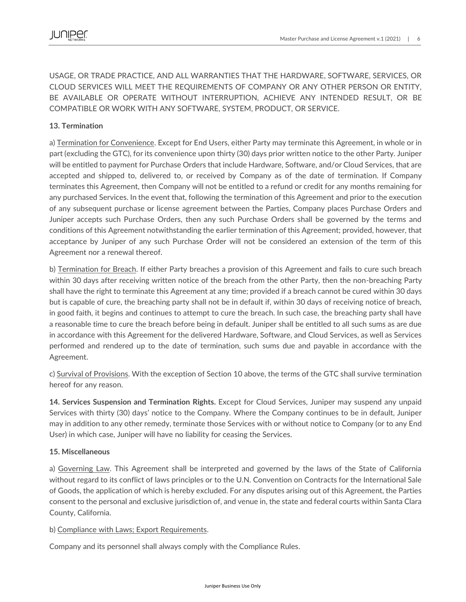USAGE, OR TRADE PRACTICE, AND ALL WARRANTIES THAT THE HARDWARE, SOFTWARE, SERVICES, OR CLOUD SERVICES WILL MEET THE REQUIREMENTS OF COMPANY OR ANY OTHER PERSON OR ENTITY, BE AVAILABLE OR OPERATE WITHOUT INTERRUPTION, ACHIEVE ANY INTENDED RESULT, OR BE COMPATIBLE OR WORK WITH ANY SOFTWARE, SYSTEM, PRODUCT, OR SERVICE.

# **13. Termination**

a) Termination for Convenience. Except for End Users, either Party may terminate this Agreement, in whole or in part (excluding the GTC), for its convenience upon thirty (30) days prior written notice to the other Party. Juniper will be entitled to payment for Purchase Orders that include Hardware, Software, and/or Cloud Services, that are accepted and shipped to, delivered to, or received by Company as of the date of termination. If Company terminates this Agreement, then Company will not be entitled to a refund or credit for any months remaining for any purchased Services. In the event that, following the termination of this Agreement and prior to the execution of any subsequent purchase or license agreement between the Parties, Company places Purchase Orders and Juniper accepts such Purchase Orders, then any such Purchase Orders shall be governed by the terms and conditions of this Agreement notwithstanding the earlier termination of this Agreement; provided, however, that acceptance by Juniper of any such Purchase Order will not be considered an extension of the term of this Agreement nor a renewal thereof.

b) Termination for Breach. If either Party breaches a provision of this Agreement and fails to cure such breach within 30 days after receiving written notice of the breach from the other Party, then the non-breaching Party shall have the right to terminate this Agreement at any time; provided if a breach cannot be cured within 30 days but is capable of cure, the breaching party shall not be in default if, within 30 days of receiving notice of breach, in good faith, it begins and continues to attempt to cure the breach. In such case, the breaching party shall have a reasonable time to cure the breach before being in default. Juniper shall be entitled to all such sums as are due in accordance with this Agreement for the delivered Hardware, Software, and Cloud Services, as well as Services performed and rendered up to the date of termination, such sums due and payable in accordance with the Agreement.

c) Survival of Provisions. With the exception of Section 10 above, the terms of the GTC shall survive termination hereof for any reason.

**14. Services Suspension and Termination Rights.** Except for Cloud Services, Juniper may suspend any unpaid Services with thirty (30) days' notice to the Company. Where the Company continues to be in default, Juniper may in addition to any other remedy, terminate those Services with or without notice to Company (or to any End User) in which case, Juniper will have no liability for ceasing the Services.

## **15. Miscellaneous**

a) Governing Law. This Agreement shall be interpreted and governed by the laws of the State of California without regard to its conflict of laws principles or to the U.N. Convention on Contracts for the International Sale of Goods, the application of which is hereby excluded. For any disputes arising out of this Agreement, the Parties consent to the personal and exclusive jurisdiction of, and venue in, the state and federal courts within Santa Clara County, California.

### b) Compliance with Laws; Export Requirements.

Company and its personnel shall always comply with the Compliance Rules.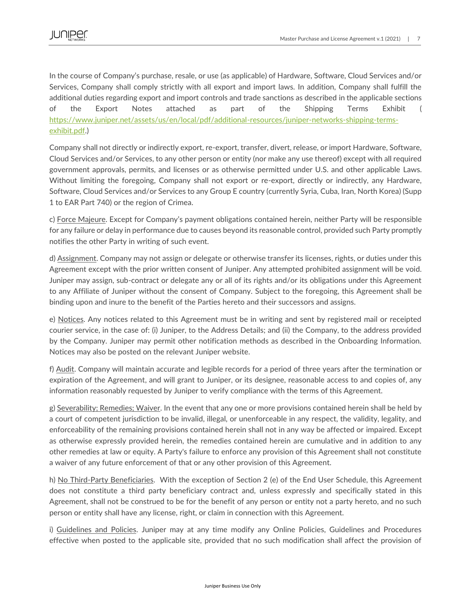In the course of Company's purchase, resale, or use (as applicable) of Hardware, Software, Cloud Services and/or Services, Company shall comply strictly with all export and import laws. In addition, Company shall fulfill the additional duties regarding export and import controls and trade sanctions as described in the applicable sections of the Export Notes attached as part of the Shipping Terms Exhibit ( [https://www.juniper.net/assets/us/en/local/pdf/additional-resources/juniper-networks-shipping-terms](https://www.juniper.net/assets/us/en/local/pdf/additional-resources/juniper-networks-shipping-terms-exhibit.pdf)[exhibit.pdf.](https://www.juniper.net/assets/us/en/local/pdf/additional-resources/juniper-networks-shipping-terms-exhibit.pdf))

Company shall not directly or indirectly export, re-export, transfer, divert, release, or import Hardware, Software, Cloud Services and/or Services, to any other person or entity (nor make any use thereof) except with all required government approvals, permits, and licenses or as otherwise permitted under U.S. and other applicable Laws. Without limiting the foregoing, Company shall not export or re-export, directly or indirectly, any Hardware, Software, Cloud Services and/or Services to any Group E country (currently Syria, Cuba, Iran, North Korea) (Supp 1 to EAR Part 740) or the region of Crimea.

c) Force Majeure. Except for Company's payment obligations contained herein, neither Party will be responsible for any failure or delay in performance due to causes beyond its reasonable control, provided such Party promptly notifies the other Party in writing of such event.

d) Assignment. Company may not assign or delegate or otherwise transfer its licenses, rights, or duties under this Agreement except with the prior written consent of Juniper. Any attempted prohibited assignment will be void. Juniper may assign, sub-contract or delegate any or all of its rights and/or its obligations under this Agreement to any Affiliate of Juniper without the consent of Company. Subject to the foregoing, this Agreement shall be binding upon and inure to the benefit of the Parties hereto and their successors and assigns.

e) Notices. Any notices related to this Agreement must be in writing and sent by registered mail or receipted courier service, in the case of: (i) Juniper, to the Address Details; and (ii) the Company, to the address provided by the Company. Juniper may permit other notification methods as described in the Onboarding Information. Notices may also be posted on the relevant Juniper website.

f) Audit. Company will maintain accurate and legible records for a period of three years after the termination or expiration of the Agreement, and will grant to Juniper, or its designee, reasonable access to and copies of, any information reasonably requested by Juniper to verify compliance with the terms of this Agreement.

g) Severability; Remedies; Waiver. In the event that any one or more provisions contained herein shall be held by a court of competent jurisdiction to be invalid, illegal, or unenforceable in any respect, the validity, legality, and enforceability of the remaining provisions contained herein shall not in any way be affected or impaired. Except as otherwise expressly provided herein, the remedies contained herein are cumulative and in addition to any other remedies at law or equity. A Party's failure to enforce any provision of this Agreement shall not constitute a waiver of any future enforcement of that or any other provision of this Agreement.

h) No Third-Party Beneficiaries. With the exception of Section 2 (e) of the End User Schedule, this Agreement does not constitute a third party beneficiary contract and, unless expressly and specifically stated in this Agreement, shall not be construed to be for the benefit of any person or entity not a party hereto, and no such person or entity shall have any license, right, or claim in connection with this Agreement.

i) Guidelines and Policies. Juniper may at any time modify any Online Policies, Guidelines and Procedures effective when posted to the applicable site, provided that no such modification shall affect the provision of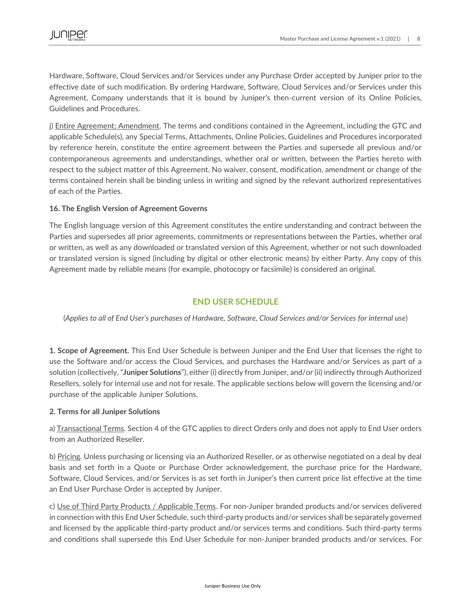Hardware, Software, Cloud Services and/or Services under any Purchase Order accepted by Juniper prior to the effective date of such modification. By ordering Hardware, Software, Cloud Services and/or Services under this Agreement, Company understands that it is bound by Juniper's then-current version of its Online Policies, Guidelines and Procedures.

j) Entire Agreement; Amendment. The terms and conditions contained in the Agreement, including the GTC and applicable Schedule(s), any Special Terms, Attachments, Online Policies, Guidelines and Procedures incorporated by reference herein, constitute the entire agreement between the Parties and supersede all previous and/or contemporaneous agreements and understandings, whether oral or written, between the Parties hereto with respect to the subject matter of this Agreement. No waiver, consent, modification, amendment or change of the terms contained herein shall be binding unless in writing and signed by the relevant authorized representatives of each of the Parties.

### **16. The English Version of Agreement Governs**

The English language version of this Agreement constitutes the entire understanding and contract between the Parties and supersedes all prior agreements, commitments or representations between the Parties, whether oral or written, as well as any downloaded or translated version of this Agreement, whether or not such downloaded or translated version is signed (including by digital or other electronic means) by either Party. Any copy of this Agreement made by reliable means (for example, photocopy or facsimile) is considered an original.

# **END USER SCHEDULE**

(*Applies to all of End User's purchases of Hardware, Software, Cloud Services and/or Services for internal use*)

**1. Scope of Agreement.** This End User Schedule is between Juniper and the End User that licenses the right to use the Software and/or access the Cloud Services, and purchases the Hardware and/or Services as part of a solution (collectively, "**Juniper Solutions**"), either (i) directly from Juniper, and/or (ii) indirectly through Authorized Resellers, solely for internal use and not for resale. The applicable sections below will govern the licensing and/or purchase of the applicable Juniper Solutions.

### **2. Terms for all Juniper Solutions**

a) Transactional Terms. Section 4 of the GTC applies to direct Orders only and does not apply to End User orders from an Authorized Reseller.

b) Pricing. Unless purchasing or licensing via an Authorized Reseller, or as otherwise negotiated on a deal by deal basis and set forth in a Quote or Purchase Order acknowledgement, the purchase price for the Hardware, Software, Cloud Services, and/or Services is as set forth in Juniper's then current price list effective at the time an End User Purchase Order is accepted by Juniper.

c) Use of Third Party Products / Applicable Terms. For non-Juniper branded products and/or services delivered in connection with this End User Schedule, such third-party products and/or services shall be separately governed and licensed by the applicable third-party product and/or services terms and conditions. Such third-party terms and conditions shall supersede this End User Schedule for non-Juniper branded products and/or services. For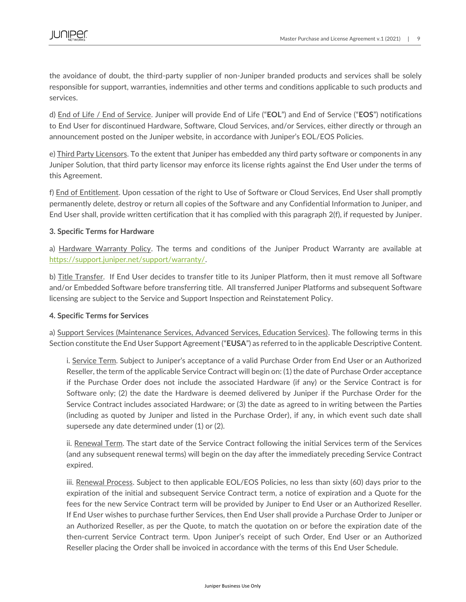the avoidance of doubt, the third-party supplier of non-Juniper branded products and services shall be solely responsible for support, warranties, indemnities and other terms and conditions applicable to such products and services.

d) End of Life / End of Service. Juniper will provide End of Life ("**EOL**") and End of Service ("**EOS**") notifications to End User for discontinued Hardware, Software, Cloud Services, and/or Services, either directly or through an announcement posted on the Juniper website, in accordance with Juniper's EOL/EOS Policies.

e) Third Party Licensors. To the extent that Juniper has embedded any third party software or components in any Juniper Solution, that third party licensor may enforce its license rights against the End User under the terms of this Agreement.

f) End of Entitlement. Upon cessation of the right to Use of Software or Cloud Services, End User shall promptly permanently delete, destroy or return all copies of the Software and any Confidential Information to Juniper, and End User shall, provide written certification that it has complied with this paragraph 2(f), if requested by Juniper.

### **3. Specific Terms for Hardware**

a) Hardware Warranty Policy. The terms and conditions of the Juniper Product Warranty are available at [https://support.juniper.net/support/warranty/.](https://support.juniper.net/support/warranty/)

b) Title Transfer. If End User decides to transfer title to its Juniper Platform, then it must remove all Software and/or Embedded Software before transferring title. All transferred Juniper Platforms and subsequent Software licensing are subject to the Service and Support Inspection and Reinstatement Policy.

### **4. Specific Terms for Services**

a) Support Services (Maintenance Services, Advanced Services, Education Services). The following terms in this Section constitute the End User Support Agreement ("**EUSA**") as referred to in the applicable Descriptive Content.

i. Service Term. Subject to Juniper's acceptance of a valid Purchase Order from End User or an Authorized Reseller, the term of the applicable Service Contract will begin on: (1) the date of Purchase Order acceptance if the Purchase Order does not include the associated Hardware (if any) or the Service Contract is for Software only; (2) the date the Hardware is deemed delivered by Juniper if the Purchase Order for the Service Contract includes associated Hardware; or (3) the date as agreed to in writing between the Parties (including as quoted by Juniper and listed in the Purchase Order), if any, in which event such date shall supersede any date determined under (1) or (2).

ii. Renewal Term. The start date of the Service Contract following the initial Services term of the Services (and any subsequent renewal terms) will begin on the day after the immediately preceding Service Contract expired.

iii. Renewal Process. Subject to then applicable EOL/EOS Policies, no less than sixty (60) days prior to the expiration of the initial and subsequent Service Contract term, a notice of expiration and a Quote for the fees for the new Service Contract term will be provided by Juniper to End User or an Authorized Reseller. If End User wishes to purchase further Services, then End User shall provide a Purchase Order to Juniper or an Authorized Reseller, as per the Quote, to match the quotation on or before the expiration date of the then-current Service Contract term. Upon Juniper's receipt of such Order, End User or an Authorized Reseller placing the Order shall be invoiced in accordance with the terms of this End User Schedule.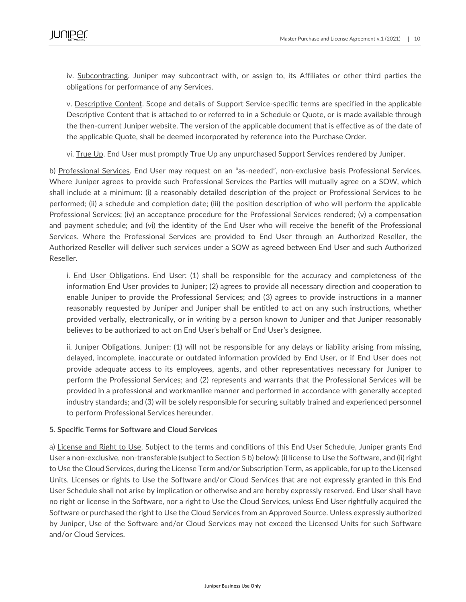iv. Subcontracting. Juniper may subcontract with, or assign to, its Affiliates or other third parties the obligations for performance of any Services.

v. Descriptive Content. Scope and details of Support Service-specific terms are specified in the applicable Descriptive Content that is attached to or referred to in a Schedule or Quote, or is made available through the then-current Juniper website. The version of the applicable document that is effective as of the date of the applicable Quote, shall be deemed incorporated by reference into the Purchase Order.

vi. True Up. End User must promptly True Up any unpurchased Support Services rendered by Juniper.

b) Professional Services. End User may request on an "as-needed", non-exclusive basis Professional Services. Where Juniper agrees to provide such Professional Services the Parties will mutually agree on a SOW, which shall include at a minimum: (i) a reasonably detailed description of the project or Professional Services to be performed; (ii) a schedule and completion date; (iii) the position description of who will perform the applicable Professional Services; (iv) an acceptance procedure for the Professional Services rendered; (v) a compensation and payment schedule; and (vi) the identity of the End User who will receive the benefit of the Professional Services. Where the Professional Services are provided to End User through an Authorized Reseller, the Authorized Reseller will deliver such services under a SOW as agreed between End User and such Authorized Reseller.

i. End User Obligations. End User: (1) shall be responsible for the accuracy and completeness of the information End User provides to Juniper; (2) agrees to provide all necessary direction and cooperation to enable Juniper to provide the Professional Services; and (3) agrees to provide instructions in a manner reasonably requested by Juniper and Juniper shall be entitled to act on any such instructions, whether provided verbally, electronically, or in writing by a person known to Juniper and that Juniper reasonably believes to be authorized to act on End User's behalf or End User's designee.

ii. Juniper Obligations. Juniper: (1) will not be responsible for any delays or liability arising from missing, delayed, incomplete, inaccurate or outdated information provided by End User, or if End User does not provide adequate access to its employees, agents, and other representatives necessary for Juniper to perform the Professional Services; and (2) represents and warrants that the Professional Services will be provided in a professional and workmanlike manner and performed in accordance with generally accepted industry standards; and (3) will be solely responsible for securing suitably trained and experienced personnel to perform Professional Services hereunder.

### **5. Specific Terms for Software and Cloud Services**

a) License and Right to Use. Subject to the terms and conditions of this End User Schedule, Juniper grants End User a non-exclusive, non-transferable (subject to Section 5 b) below): (i) license to Use the Software, and (ii) right to Use the Cloud Services, during the License Term and/or Subscription Term, as applicable, for up to the Licensed Units. Licenses or rights to Use the Software and/or Cloud Services that are not expressly granted in this End User Schedule shall not arise by implication or otherwise and are hereby expressly reserved. End User shall have no right or license in the Software, nor a right to Use the Cloud Services, unless End User rightfully acquired the Software or purchased the right to Use the Cloud Services from an Approved Source. Unless expressly authorized by Juniper, Use of the Software and/or Cloud Services may not exceed the Licensed Units for such Software and/or Cloud Services.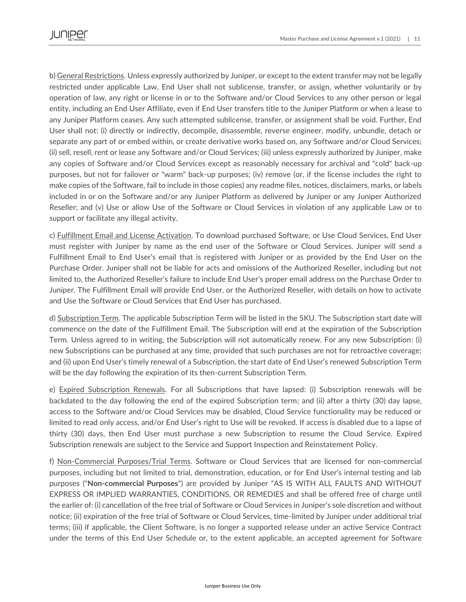b) General Restrictions. Unless expressly authorized by Juniper, or except to the extent transfer may not be legally restricted under applicable Law, End User shall not sublicense, transfer, or assign, whether voluntarily or by operation of law, any right or license in or to the Software and/or Cloud Services to any other person or legal entity, including an End User Affiliate, even if End User transfers title to the Juniper Platform or when a lease to any Juniper Platform ceases. Any such attempted sublicense, transfer, or assignment shall be void. Further, End User shall not: (i) directly or indirectly, decompile, disassemble, reverse engineer, modify, unbundle, detach or separate any part of or embed within, or create derivative works based on, any Software and/or Cloud Services; (ii) sell, resell, rent or lease any Software and/or Cloud Services; (iii) unless expressly authorized by Juniper, make any copies of Software and/or Cloud Services except as reasonably necessary for archival and "cold" back-up purposes, but not for failover or "warm" back-up purposes; (iv) remove (or, if the license includes the right to make copies of the Software, fail to include in those copies) any readme files, notices, disclaimers, marks, or labels included in or on the Software and/or any Juniper Platform as delivered by Juniper or any Juniper Authorized Reseller; and (v) Use or allow Use of the Software or Cloud Services in violation of any applicable Law or to support or facilitate any illegal activity.

c) Fulfillment Email and License Activation. To download purchased Software, or Use Cloud Services, End User must register with Juniper by name as the end user of the Software or Cloud Services. Juniper will send a Fulfillment Email to End User's email that is registered with Juniper or as provided by the End User on the Purchase Order. Juniper shall not be liable for acts and omissions of the Authorized Reseller, including but not limited to, the Authorized Reseller's failure to include End User's proper email address on the Purchase Order to Juniper. The Fulfillment Email will provide End User, or the Authorized Reseller, with details on how to activate and Use the Software or Cloud Services that End User has purchased.

d) Subscription Term. The applicable Subscription Term will be listed in the SKU. The Subscription start date will commence on the date of the Fulfillment Email. The Subscription will end at the expiration of the Subscription Term. Unless agreed to in writing, the Subscription will not automatically renew. For any new Subscription: (i) new Subscriptions can be purchased at any time, provided that such purchases are not for retroactive coverage; and (ii) upon End User's timely renewal of a Subscription, the start date of End User's renewed Subscription Term will be the day following the expiration of its then-current Subscription Term.

e) Expired Subscription Renewals. For all Subscriptions that have lapsed: (i) Subscription renewals will be backdated to the day following the end of the expired Subscription term; and (ii) after a thirty (30) day lapse, access to the Software and/or Cloud Services may be disabled, Cloud Service functionality may be reduced or limited to read only access, and/or End User's right to Use will be revoked. If access is disabled due to a lapse of thirty (30) days, then End User must purchase a new Subscription to resume the Cloud Service. Expired Subscription renewals are subject to the Service and Support Inspection and Reinstatement Policy.

f) Non-Commercial Purposes/Trial Terms. Software or Cloud Services that are licensed for non-commercial purposes, including but not limited to trial, demonstration, education, or for End User's internal testing and lab purposes ("**Non-commercial Purposes**") are provided by Juniper "AS IS WITH ALL FAULTS AND WITHOUT EXPRESS OR IMPLIED WARRANTIES, CONDITIONS, OR REMEDIES and shall be offered free of charge until the earlier of: (i) cancellation of the free trial of Software or Cloud Services in Juniper's sole discretion and without notice; (ii) expiration of the free trial of Software or Cloud Services, time-limited by Juniper under additional trial terms; (iii) if applicable, the Client Software, is no longer a supported release under an active Service Contract under the terms of this End User Schedule or, to the extent applicable, an accepted agreement for Software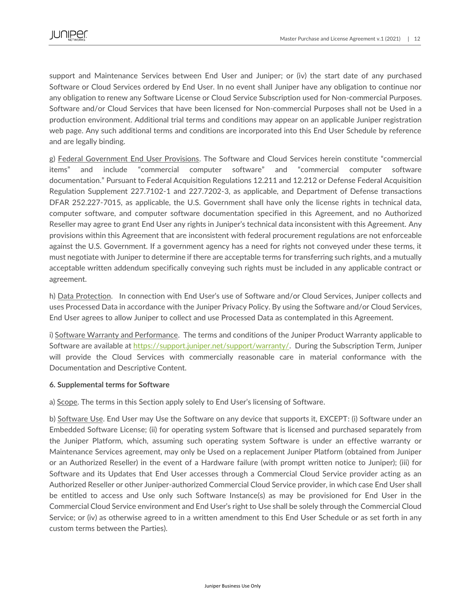support and Maintenance Services between End User and Juniper; or (iv) the start date of any purchased Software or Cloud Services ordered by End User. In no event shall Juniper have any obligation to continue nor any obligation to renew any Software License or Cloud Service Subscription used for Non-commercial Purposes. Software and/or Cloud Services that have been licensed for Non-commercial Purposes shall not be Used in a production environment. Additional trial terms and conditions may appear on an applicable Juniper registration web page. Any such additional terms and conditions are incorporated into this End User Schedule by reference and are legally binding.

g) Federal Government End User Provisions. The Software and Cloud Services herein constitute "commercial items" and include "commercial computer software" and "commercial computer software documentation." Pursuant to Federal Acquisition Regulations 12.211 and 12.212 or Defense Federal Acquisition Regulation Supplement 227.7102-1 and 227.7202-3, as applicable, and Department of Defense transactions DFAR 252.227-7015, as applicable, the U.S. Government shall have only the license rights in technical data, computer software, and computer software documentation specified in this Agreement, and no Authorized Reseller may agree to grant End User any rights in Juniper's technical data inconsistent with this Agreement. Any provisions within this Agreement that are inconsistent with federal procurement regulations are not enforceable against the U.S. Government. If a government agency has a need for rights not conveyed under these terms, it must negotiate with Juniper to determine if there are acceptable terms for transferring such rights, and a mutually acceptable written addendum specifically conveying such rights must be included in any applicable contract or agreement.

h) Data Protection. In connection with End User's use of Software and/or Cloud Services, Juniper collects and uses Processed Data in accordance with the Juniper Privacy Policy. By using the Software and/or Cloud Services, End User agrees to allow Juniper to collect and use Processed Data as contemplated in this Agreement.

i) Software Warranty and Performance. The terms and conditions of the Juniper Product Warranty applicable to Software are available at [https://support.juniper.net/support/warranty/.](https://support.juniper.net/support/warranty/) During the Subscription Term, Juniper will provide the Cloud Services with commercially reasonable care in material conformance with the Documentation and Descriptive Content.

### **6. Supplemental terms for Software**

a) Scope. The terms in this Section apply solely to End User's licensing of Software.

b) Software Use. End User may Use the Software on any device that supports it, EXCEPT: (i) Software under an Embedded Software License; (ii) for operating system Software that is licensed and purchased separately from the Juniper Platform, which, assuming such operating system Software is under an effective warranty or Maintenance Services agreement, may only be Used on a replacement Juniper Platform (obtained from Juniper or an Authorized Reseller) in the event of a Hardware failure (with prompt written notice to Juniper); (iii) for Software and its Updates that End User accesses through a Commercial Cloud Service provider acting as an Authorized Reseller or other Juniper-authorized Commercial Cloud Service provider, in which case End User shall be entitled to access and Use only such Software Instance(s) as may be provisioned for End User in the Commercial Cloud Service environment and End User's right to Use shall be solely through the Commercial Cloud Service; or (iv) as otherwise agreed to in a written amendment to this End User Schedule or as set forth in any custom terms between the Parties).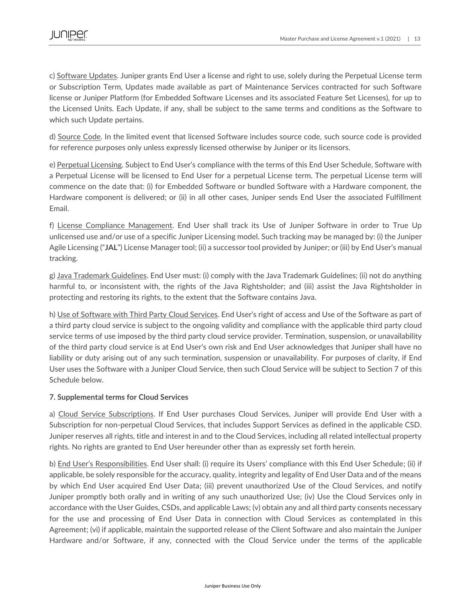c) Software Updates. Juniper grants End User a license and right to use, solely during the Perpetual License term or Subscription Term, Updates made available as part of Maintenance Services contracted for such Software license or Juniper Platform (for Embedded Software Licenses and its associated Feature Set Licenses), for up to the Licensed Units. Each Update, if any, shall be subject to the same terms and conditions as the Software to which such Update pertains.

d) Source Code. In the limited event that licensed Software includes source code, such source code is provided for reference purposes only unless expressly licensed otherwise by Juniper or its licensors.

e) Perpetual Licensing. Subject to End User's compliance with the terms of this End User Schedule, Software with a Perpetual License will be licensed to End User for a perpetual License term. The perpetual License term will commence on the date that: (i) for Embedded Software or bundled Software with a Hardware component, the Hardware component is delivered; or (ii) in all other cases, Juniper sends End User the associated Fulfillment Email.

f) License Compliance Management. End User shall track its Use of Juniper Software in order to True Up unlicensed use and/or use of a specific Juniper Licensing model. Such tracking may be managed by: (i) the Juniper Agile Licensing ("**JAL**") License Manager tool; (ii) a successor tool provided by Juniper; or (iii) by End User's manual tracking.

g) Java Trademark Guidelines. End User must: (i) comply with the Java Trademark Guidelines; (ii) not do anything harmful to, or inconsistent with, the rights of the Java Rightsholder; and (iii) assist the Java Rightsholder in protecting and restoring its rights, to the extent that the Software contains Java.

h) Use of Software with Third Party Cloud Services. End User's right of access and Use of the Software as part of a third party cloud service is subject to the ongoing validity and compliance with the applicable third party cloud service terms of use imposed by the third party cloud service provider. Termination, suspension, or unavailability of the third party cloud service is at End User's own risk and End User acknowledges that Juniper shall have no liability or duty arising out of any such termination, suspension or unavailability. For purposes of clarity, if End User uses the Software with a Juniper Cloud Service, then such Cloud Service will be subject to Section 7 of this Schedule below.

### **7. Supplemental terms for Cloud Services**

a) Cloud Service Subscriptions. If End User purchases Cloud Services, Juniper will provide End User with a Subscription for non-perpetual Cloud Services, that includes Support Services as defined in the applicable CSD. Juniper reserves all rights, title and interest in and to the Cloud Services, including all related intellectual property rights. No rights are granted to End User hereunder other than as expressly set forth herein.

b) End User's Responsibilities. End User shall: (i) require its Users' compliance with this End User Schedule; (ii) if applicable, be solely responsible for the accuracy, quality, integrity and legality of End User Data and of the means by which End User acquired End User Data; (iii) prevent unauthorized Use of the Cloud Services, and notify Juniper promptly both orally and in writing of any such unauthorized Use; (iv) Use the Cloud Services only in accordance with the User Guides, CSDs, and applicable Laws; (v) obtain any and all third party consents necessary for the use and processing of End User Data in connection with Cloud Services as contemplated in this Agreement; (vi) if applicable, maintain the supported release of the Client Software and also maintain the Juniper Hardware and/or Software, if any, connected with the Cloud Service under the terms of the applicable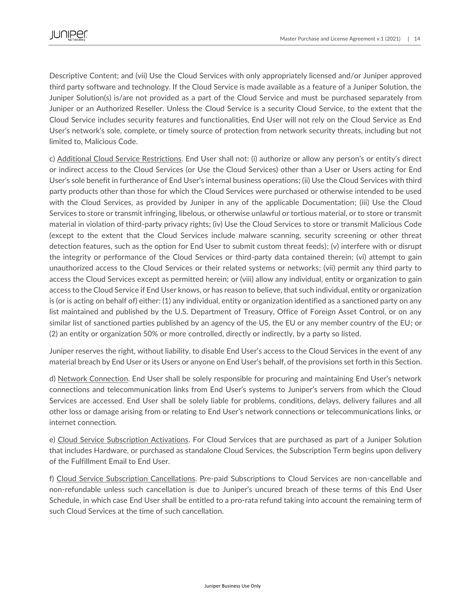Descriptive Content; and (vii) Use the Cloud Services with only appropriately licensed and/or Juniper approved third party software and technology. If the Cloud Service is made available as a feature of a Juniper Solution, the Juniper Solution(s) is/are not provided as a part of the Cloud Service and must be purchased separately from Juniper or an Authorized Reseller. Unless the Cloud Service is a security Cloud Service, to the extent that the Cloud Service includes security features and functionalities, End User will not rely on the Cloud Service as End User's network's sole, complete, or timely source of protection from network security threats, including but not limited to, Malicious Code.

c) Additional Cloud Service Restrictions. End User shall not: (i) authorize or allow any person's or entity's direct or indirect access to the Cloud Services (or Use the Cloud Services) other than a User or Users acting for End User's sole benefit in furtherance of End User's internal business operations; (ii) Use the Cloud Services with third party products other than those for which the Cloud Services were purchased or otherwise intended to be used with the Cloud Services, as provided by Juniper in any of the applicable Documentation; (iii) Use the Cloud Services to store or transmit infringing, libelous, or otherwise unlawful or tortious material, or to store or transmit material in violation of third-party privacy rights; (iv) Use the Cloud Services to store or transmit Malicious Code (except to the extent that the Cloud Services include malware scanning, security screening or other threat detection features, such as the option for End User to submit custom threat feeds); (v) interfere with or disrupt the integrity or performance of the Cloud Services or third-party data contained therein; (vi) attempt to gain unauthorized access to the Cloud Services or their related systems or networks; (vii) permit any third party to access the Cloud Services except as permitted herein; or (viii) allow any individual, entity or organization to gain access to the Cloud Service if End User knows, or has reason to believe, that such individual, entity or organization is (or is acting on behalf of) either: (1) any individual, entity or organization identified as a sanctioned party on any list maintained and published by the U.S. Department of Treasury, Office of Foreign Asset Control, or on any similar list of sanctioned parties published by an agency of the US, the EU or any member country of the EU; or (2) an entity or organization 50% or more controlled, directly or indirectly, by a party so listed.

Juniper reserves the right, without liability, to disable End User's access to the Cloud Services in the event of any material breach by End User or its Users or anyone on End User's behalf, of the provisions set forth in this Section.

d) Network Connection. End User shall be solely responsible for procuring and maintaining End User's network connections and telecommunication links from End User's systems to Juniper's servers from which the Cloud Services are accessed. End User shall be solely liable for problems, conditions, delays, delivery failures and all other loss or damage arising from or relating to End User's network connections or telecommunications links, or internet connection.

e) Cloud Service Subscription Activations. For Cloud Services that are purchased as part of a Juniper Solution that includes Hardware, or purchased as standalone Cloud Services, the Subscription Term begins upon delivery of the Fulfillment Email to End User.

f) Cloud Service Subscription Cancellations. Pre-paid Subscriptions to Cloud Services are non-cancellable and non-refundable unless such cancellation is due to Juniper's uncured breach of these terms of this End User Schedule, in which case End User shall be entitled to a pro-rata refund taking into account the remaining term of such Cloud Services at the time of such cancellation.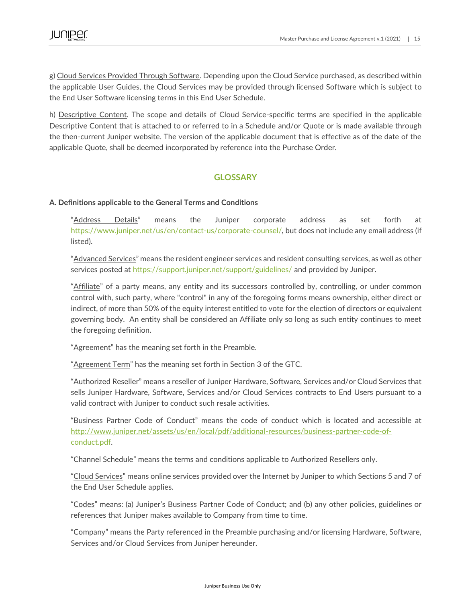g) Cloud Services Provided Through Software. Depending upon the Cloud Service purchased, as described within the applicable User Guides, the Cloud Services may be provided through licensed Software which is subject to the End User Software licensing terms in this End User Schedule.

h) Descriptive Content. The scope and details of Cloud Service-specific terms are specified in the applicable Descriptive Content that is attached to or referred to in a Schedule and/or Quote or is made available through the then-current Juniper website. The version of the applicable document that is effective as of the date of the applicable Quote, shall be deemed incorporated by reference into the Purchase Order.

# **GLOSSARY**

### **A. Definitions applicable to the General Terms and Conditions**

"Address Details" means the Juniper corporate address as set forth at https://www.juniper.net/us/en/contact-us/corporate-counsel/, but does not include any email address (if listed).

"Advanced Services" means the resident engineer services and resident consulting services, as well as other services posted at<https://support.juniper.net/support/guidelines/> and provided by Juniper.

"Affiliate" of a party means, any entity and its successors controlled by, controlling, or under common control with, such party, where "control" in any of the foregoing forms means ownership, either direct or indirect, of more than 50% of the equity interest entitled to vote for the election of directors or equivalent governing body. An entity shall be considered an Affiliate only so long as such entity continues to meet the foregoing definition.

"Agreement" has the meaning set forth in the Preamble.

"Agreement Term" has the meaning set forth in Section 3 of the GTC.

"Authorized Reseller" means a reseller of Juniper Hardware, Software, Services and/or Cloud Services that sells Juniper Hardware, Software, Services and/or Cloud Services contracts to End Users pursuant to a valid contract with Juniper to conduct such resale activities.

"Business Partner Code of Conduct" means the code of conduct which is located and accessible at [http://www.juniper.net/assets/us/en/local/pdf/additional-resources/business-partner-code-of](http://www.juniper.net/assets/us/en/local/pdf/additional-resources/business-partner-code-of-conduct.pdf)[conduct.pdf.](http://www.juniper.net/assets/us/en/local/pdf/additional-resources/business-partner-code-of-conduct.pdf)

"Channel Schedule" means the terms and conditions applicable to Authorized Resellers only.

"Cloud Services" means online services provided over the Internet by Juniper to which Sections 5 and 7 of the End User Schedule applies.

"Codes" means: (a) Juniper's Business Partner Code of Conduct; and (b) any other policies, guidelines or references that Juniper makes available to Company from time to time.

"Company" means the Party referenced in the Preamble purchasing and/or licensing Hardware, Software, Services and/or Cloud Services from Juniper hereunder.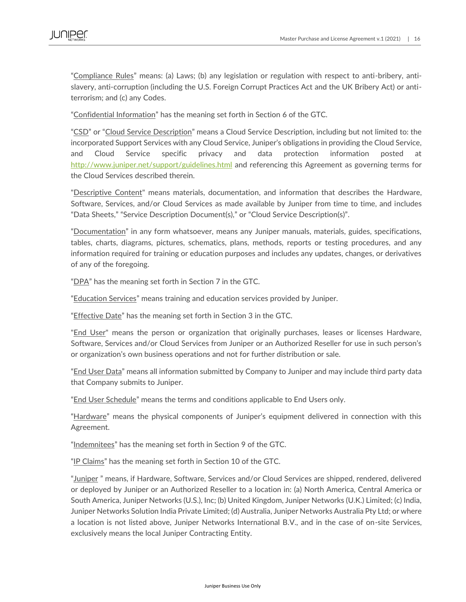"Compliance Rules" means: (a) Laws; (b) any legislation or regulation with respect to anti-bribery, antislavery, anti-corruption (including the U.S. Foreign Corrupt Practices Act and the UK Bribery Act) or antiterrorism; and (c) any Codes.

"Confidential Information" has the meaning set forth in Section 6 of the GTC.

"CSD" or "Cloud Service Description" means a Cloud Service Description, including but not limited to: the incorporated Support Services with any Cloud Service, Juniper's obligations in providing the Cloud Service, and Cloud Service specific privacy and data protection information posted at <http://www.juniper.net/support/guidelines.html> and referencing this Agreement as governing terms for the Cloud Services described therein.

"Descriptive Content" means materials, documentation, and information that describes the Hardware, Software, Services, and/or Cloud Services as made available by Juniper from time to time, and includes "Data Sheets," "Service Description Document(s)," or "Cloud Service Description(s)".

"Documentation" in any form whatsoever, means any Juniper manuals, materials, guides, specifications, tables, charts, diagrams, pictures, schematics, plans, methods, reports or testing procedures, and any information required for training or education purposes and includes any updates, changes, or derivatives of any of the foregoing.

"DPA" has the meaning set forth in Section 7 in the GTC.

"Education Services" means training and education services provided by Juniper.

"Effective Date" has the meaning set forth in Section 3 in the GTC.

"End User" means the person or organization that originally purchases, leases or licenses Hardware, Software, Services and/or Cloud Services from Juniper or an Authorized Reseller for use in such person's or organization's own business operations and not for further distribution or sale.

"End User Data" means all information submitted by Company to Juniper and may include third party data that Company submits to Juniper.

"End User Schedule" means the terms and conditions applicable to End Users only.

"Hardware" means the physical components of Juniper's equipment delivered in connection with this Agreement.

"Indemnitees" has the meaning set forth in Section 9 of the GTC.

"IP Claims" has the meaning set forth in Section 10 of the GTC.

"Juniper " means, if Hardware, Software, Services and/or Cloud Services are shipped, rendered, delivered or deployed by Juniper or an Authorized Reseller to a location in: (a) North America, Central America or South America, Juniper Networks (U.S.), Inc; (b) United Kingdom, Juniper Networks (U.K.) Limited; (c) India, Juniper Networks Solution India Private Limited; (d) Australia, Juniper Networks Australia Pty Ltd; or where a location is not listed above, Juniper Networks International B.V., and in the case of on-site Services, exclusively means the local Juniper Contracting Entity.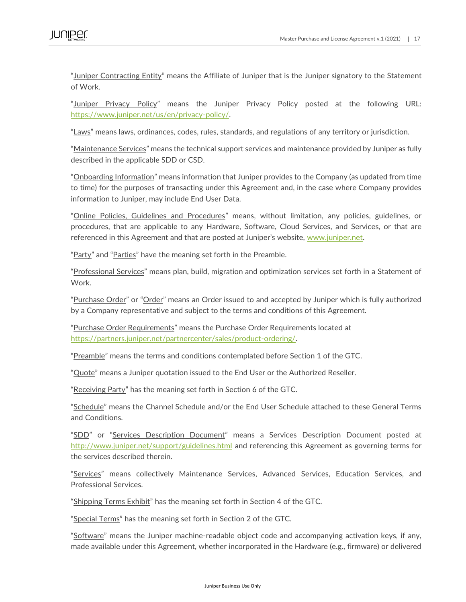"Juniper Contracting Entity" means the Affiliate of Juniper that is the Juniper signatory to the Statement of Work.

"Juniper Privacy Policy" means the Juniper Privacy Policy posted at the following URL: [https://www.juniper.net/us/en/privacy-policy/.](https://www.juniper.net/us/en/privacy-policy/)

"Laws" means laws, ordinances, codes, rules, standards, and regulations of any territory or jurisdiction.

"Maintenance Services" means the technical support services and maintenance provided by Juniper as fully described in the applicable SDD or CSD.

"Onboarding Information" means information that Juniper provides to the Company (as updated from time to time) for the purposes of transacting under this Agreement and, in the case where Company provides information to Juniper, may include End User Data.

"Online Policies, Guidelines and Procedures" means, without limitation, any policies, guidelines, or procedures, that are applicable to any Hardware, Software, Cloud Services, and Services, or that are referenced in this Agreement and that are posted at Juniper's website, [www.juniper.net.](http://www.juniper.net/)

"Party" and "Parties" have the meaning set forth in the Preamble.

"Professional Services" means plan, build, migration and optimization services set forth in a Statement of Work.

"Purchase Order" or "Order" means an Order issued to and accepted by Juniper which is fully authorized by a Company representative and subject to the terms and conditions of this Agreement.

"Purchase Order Requirements" means the Purchase Order Requirements located at [https://partners.juniper.net/partnercenter/sales/product-ordering/.](https://partners.juniper.net/partnercenter/sales/product-ordering/) 

"Preamble" means the terms and conditions contemplated before Section 1 of the GTC.

"Quote" means a Juniper quotation issued to the End User or the Authorized Reseller.

"Receiving Party" has the meaning set forth in Section 6 of the GTC.

"Schedule" means the Channel Schedule and/or the End User Schedule attached to these General Terms and Conditions.

"SDD" or "Services Description Document" means a Services Description Document posted at <http://www.juniper.net/support/guidelines.html> and referencing this Agreement as governing terms for the services described therein.

"Services" means collectively Maintenance Services, Advanced Services, Education Services, and Professional Services.

"Shipping Terms Exhibit" has the meaning set forth in Section 4 of the GTC.

"Special Terms" has the meaning set forth in Section 2 of the GTC.

"Software" means the Juniper machine-readable object code and accompanying activation keys, if any, made available under this Agreement, whether incorporated in the Hardware (e.g., firmware) or delivered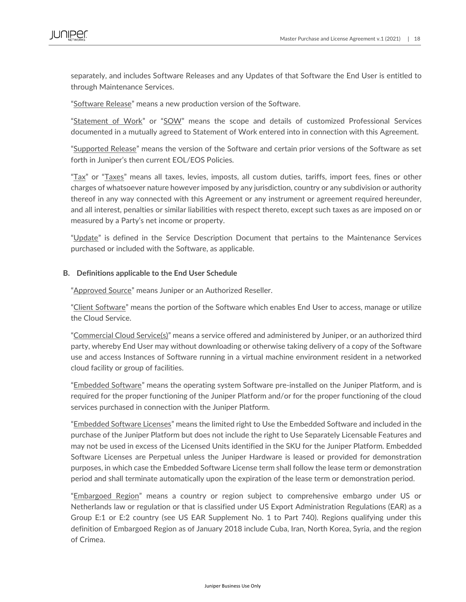separately, and includes Software Releases and any Updates of that Software the End User is entitled to through Maintenance Services.

"Software Release" means a new production version of the Software.

"Statement of Work" or "SOW" means the scope and details of customized Professional Services documented in a mutually agreed to Statement of Work entered into in connection with this Agreement.

"Supported Release" means the version of the Software and certain prior versions of the Software as set forth in Juniper's then current EOL/EOS Policies.

"Tax" or "Taxes" means all taxes, levies, imposts, all custom duties, tariffs, import fees, fines or other charges of whatsoever nature however imposed by any jurisdiction, country or any subdivision or authority thereof in any way connected with this Agreement or any instrument or agreement required hereunder, and all interest, penalties or similar liabilities with respect thereto, except such taxes as are imposed on or measured by a Party's net income or property.

"Update" is defined in the Service Description Document that pertains to the Maintenance Services purchased or included with the Software, as applicable.

#### **B. Definitions applicable to the End User Schedule**

"Approved Source" means Juniper or an Authorized Reseller.

"Client Software" means the portion of the Software which enables End User to access, manage or utilize the Cloud Service.

"Commercial Cloud Service(s)" means a service offered and administered by Juniper, or an authorized third party, whereby End User may without downloading or otherwise taking delivery of a copy of the Software use and access Instances of Software running in a virtual machine environment resident in a networked cloud facility or group of facilities.

"Embedded Software" means the operating system Software pre-installed on the Juniper Platform, and is required for the proper functioning of the Juniper Platform and/or for the proper functioning of the cloud services purchased in connection with the Juniper Platform.

"Embedded Software Licenses" means the limited right to Use the Embedded Software and included in the purchase of the Juniper Platform but does not include the right to Use Separately Licensable Features and may not be used in excess of the Licensed Units identified in the SKU for the Juniper Platform. Embedded Software Licenses are Perpetual unless the Juniper Hardware is leased or provided for demonstration purposes, in which case the Embedded Software License term shall follow the lease term or demonstration period and shall terminate automatically upon the expiration of the lease term or demonstration period.

"Embargoed Region" means a country or region subject to comprehensive embargo under US or Netherlands law or regulation or that is classified under US Export Administration Regulations (EAR) as a Group E:1 or E:2 country (see US EAR Supplement No. 1 to Part 740). Regions qualifying under this definition of Embargoed Region as of January 2018 include Cuba, Iran, North Korea, Syria, and the region of Crimea.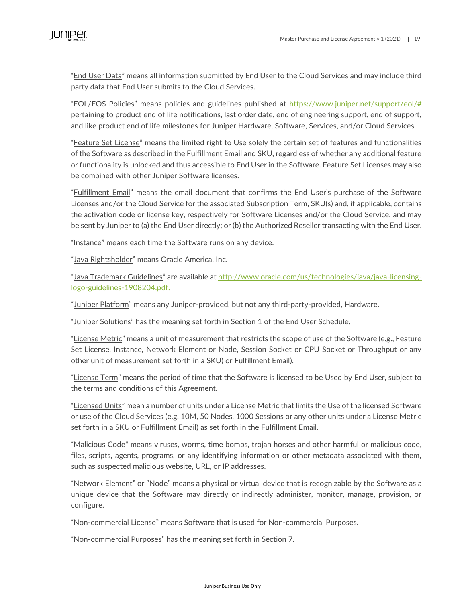"End User Data" means all information submitted by End User to the Cloud Services and may include third party data that End User submits to the Cloud Services.

"EOL/EOS Policies" means policies and guidelines published at [https://www.juniper.net/support/eol/#](https://www.juniper.net/support/eol/)  pertaining to product end of life notifications, last order date, end of engineering support, end of support, and like product end of life milestones for Juniper Hardware, Software, Services, and/or Cloud Services.

"Feature Set License" means the limited right to Use solely the certain set of features and functionalities of the Software as described in the Fulfillment Email and SKU, regardless of whether any additional feature or functionality is unlocked and thus accessible to End User in the Software. Feature Set Licenses may also be combined with other Juniper Software licenses.

"Fulfillment Email" means the email document that confirms the End User's purchase of the Software Licenses and/or the Cloud Service for the associated Subscription Term, SKU(s) and, if applicable, contains the activation code or license key, respectively for Software Licenses and/or the Cloud Service, and may be sent by Juniper to (a) the End User directly; or (b) the Authorized Reseller transacting with the End User.

"Instance" means each time the Software runs on any device.

"Java Rightsholder" means Oracle America, Inc.

"Java Trademark Guidelines" are available at [http://www.oracle.com/us/technologies/java/java-licensing](http://www.oracle.com/us/technologies/java/java-licensing-logo-guidelines-1908204.pdf)[logo-guidelines-1908204.pdf.](http://www.oracle.com/us/technologies/java/java-licensing-logo-guidelines-1908204.pdf)

"Juniper Platform" means any Juniper-provided, but not any third-party-provided, Hardware.

"Juniper Solutions" has the meaning set forth in Section 1 of the End User Schedule.

"License Metric" means a unit of measurement that restricts the scope of use of the Software (e.g., Feature Set License, Instance, Network Element or Node, Session Socket or CPU Socket or Throughput or any other unit of measurement set forth in a SKU) or Fulfillment Email).

"License Term" means the period of time that the Software is licensed to be Used by End User, subject to the terms and conditions of this Agreement.

"Licensed Units" mean a number of units under a License Metric that limits the Use of the licensed Software or use of the Cloud Services (e.g. 10M, 50 Nodes, 1000 Sessions or any other units under a License Metric set forth in a SKU or Fulfillment Email) as set forth in the Fulfillment Email.

"Malicious Code" means viruses, worms, time bombs, trojan horses and other harmful or malicious code, files, scripts, agents, programs, or any identifying information or other metadata associated with them, such as suspected malicious website, URL, or IP addresses.

"Network Element" or "Node" means a physical or virtual device that is recognizable by the Software as a unique device that the Software may directly or indirectly administer, monitor, manage, provision, or configure.

"Non-commercial License" means Software that is used for Non-commercial Purposes.

"Non-commercial Purposes" has the meaning set forth in Section 7.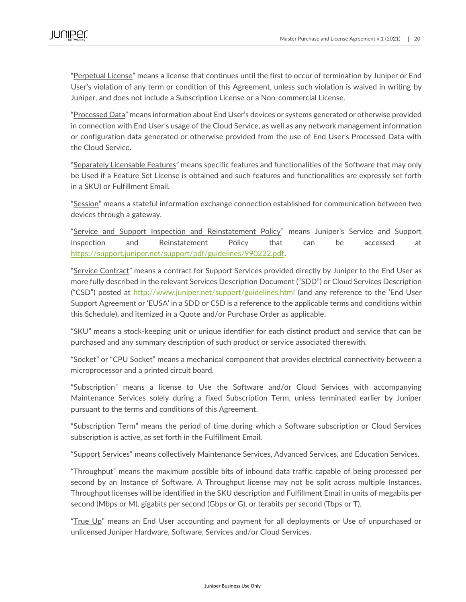"Perpetual License" means a license that continues until the first to occur of termination by Juniper or End User's violation of any term or condition of this Agreement, unless such violation is waived in writing by Juniper, and does not include a Subscription License or a Non-commercial License.

"Processed Data" means information about End User's devices or systems generated or otherwise provided in connection with End User's usage of the Cloud Service, as well as any network management information or configuration data generated or otherwise provided from the use of End User's Processed Data with the Cloud Service.

"Separately Licensable Features" means specific features and functionalities of the Software that may only be Used if a Feature Set License is obtained and such features and functionalities are expressly set forth in a SKU) or Fulfillment Email.

"Session" means a stateful information exchange connection established for communication between two devices through a gateway.

"Service and Support Inspection and Reinstatement Policy" means Juniper's Service and Support Inspection and Reinstatement Policy that can be accessed at [https://support.juniper.net/support/pdf/guidelines/990222.pdf.](https://support.juniper.net/support/pdf/guidelines/990222.pdf)

"Service Contract" means a contract for Support Services provided directly by Juniper to the End User as more fully described in the relevant Services Description Document ("SDD") or Cloud Services Description ("CSD") posted at <http://www.juniper.net/support/guidelines.html> (and any reference to the 'End User Support Agreement or 'EUSA' in a SDD or CSD is a reference to the applicable terms and conditions within this Schedule), and itemized in a Quote and/or Purchase Order as applicable.

"SKU" means a stock-keeping unit or unique identifier for each distinct product and service that can be purchased and any summary description of such product or service associated therewith.

"Socket" or "CPU Socket" means a mechanical component that provides electrical connectivity between a microprocessor and a printed circuit board.

"Subscription" means a license to Use the Software and/or Cloud Services with accompanying Maintenance Services solely during a fixed Subscription Term, unless terminated earlier by Juniper pursuant to the terms and conditions of this Agreement.

"Subscription Term" means the period of time during which a Software subscription or Cloud Services subscription is active, as set forth in the Fulfillment Email.

"Support Services" means collectively Maintenance Services, Advanced Services, and Education Services.

"Throughput" means the maximum possible bits of inbound data traffic capable of being processed per second by an Instance of Software. A Throughput license may not be split across multiple Instances. Throughput licenses will be identified in the SKU description and Fulfillment Email in units of megabits per second (Mbps or M), gigabits per second (Gbps or G), or terabits per second (Tbps or T).

"True Up" means an End User accounting and payment for all deployments or Use of unpurchased or unlicensed Juniper Hardware, Software, Services and/or Cloud Services.